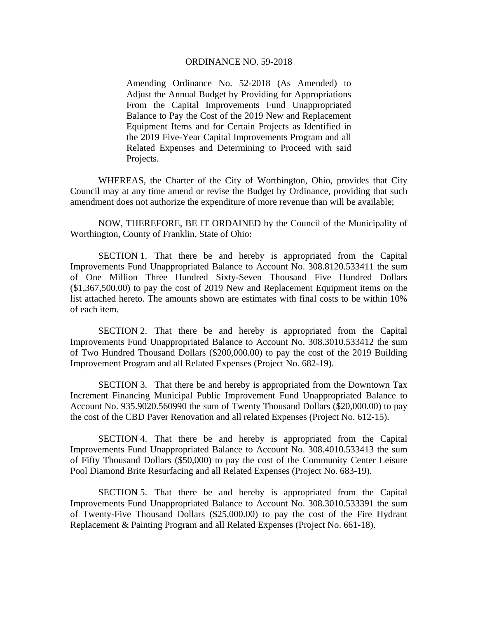## ORDINANCE NO. 59-2018

Amending Ordinance No. 52-2018 (As Amended) to Adjust the Annual Budget by Providing for Appropriations From the Capital Improvements Fund Unappropriated Balance to Pay the Cost of the 2019 New and Replacement Equipment Items and for Certain Projects as Identified in the 2019 Five-Year Capital Improvements Program and all Related Expenses and Determining to Proceed with said Projects.

 WHEREAS, the Charter of the City of Worthington, Ohio, provides that City Council may at any time amend or revise the Budget by Ordinance, providing that such amendment does not authorize the expenditure of more revenue than will be available;

 NOW, THEREFORE, BE IT ORDAINED by the Council of the Municipality of Worthington, County of Franklin, State of Ohio:

 SECTION 1. That there be and hereby is appropriated from the Capital Improvements Fund Unappropriated Balance to Account No. 308.8120.533411 the sum of One Million Three Hundred Sixty-Seven Thousand Five Hundred Dollars (\$1,367,500.00) to pay the cost of 2019 New and Replacement Equipment items on the list attached hereto. The amounts shown are estimates with final costs to be within 10% of each item.

 SECTION 2. That there be and hereby is appropriated from the Capital Improvements Fund Unappropriated Balance to Account No. 308.3010.533412 the sum of Two Hundred Thousand Dollars (\$200,000.00) to pay the cost of the 2019 Building Improvement Program and all Related Expenses (Project No. 682-19).

 SECTION 3. That there be and hereby is appropriated from the Downtown Tax Increment Financing Municipal Public Improvement Fund Unappropriated Balance to Account No. 935.9020.560990 the sum of Twenty Thousand Dollars (\$20,000.00) to pay the cost of the CBD Paver Renovation and all related Expenses (Project No. 612-15).

 SECTION 4. That there be and hereby is appropriated from the Capital Improvements Fund Unappropriated Balance to Account No. 308.4010.533413 the sum of Fifty Thousand Dollars (\$50,000) to pay the cost of the Community Center Leisure Pool Diamond Brite Resurfacing and all Related Expenses (Project No. 683-19).

 SECTION 5. That there be and hereby is appropriated from the Capital Improvements Fund Unappropriated Balance to Account No. 308.3010.533391 the sum of Twenty-Five Thousand Dollars (\$25,000.00) to pay the cost of the Fire Hydrant Replacement & Painting Program and all Related Expenses (Project No. 661-18).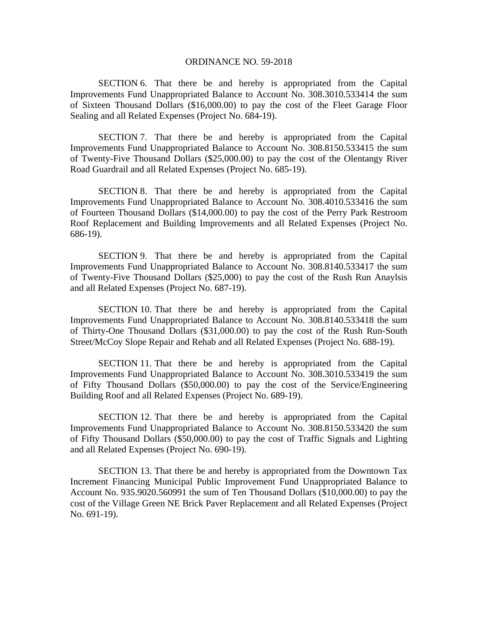## ORDINANCE NO. 59-2018

SECTION 6. That there be and hereby is appropriated from the Capital Improvements Fund Unappropriated Balance to Account No. 308.3010.533414 the sum of Sixteen Thousand Dollars (\$16,000.00) to pay the cost of the Fleet Garage Floor Sealing and all Related Expenses (Project No. 684-19).

SECTION 7. That there be and hereby is appropriated from the Capital Improvements Fund Unappropriated Balance to Account No. 308.8150.533415 the sum of Twenty-Five Thousand Dollars (\$25,000.00) to pay the cost of the Olentangy River Road Guardrail and all Related Expenses (Project No. 685-19).

SECTION 8. That there be and hereby is appropriated from the Capital Improvements Fund Unappropriated Balance to Account No. 308.4010.533416 the sum of Fourteen Thousand Dollars (\$14,000.00) to pay the cost of the Perry Park Restroom Roof Replacement and Building Improvements and all Related Expenses (Project No. 686-19).

SECTION 9. That there be and hereby is appropriated from the Capital Improvements Fund Unappropriated Balance to Account No. 308.8140.533417 the sum of Twenty-Five Thousand Dollars (\$25,000) to pay the cost of the Rush Run Anaylsis and all Related Expenses (Project No. 687-19).

SECTION 10. That there be and hereby is appropriated from the Capital Improvements Fund Unappropriated Balance to Account No. 308.8140.533418 the sum of Thirty-One Thousand Dollars (\$31,000.00) to pay the cost of the Rush Run-South Street/McCoy Slope Repair and Rehab and all Related Expenses (Project No. 688-19).

SECTION 11. That there be and hereby is appropriated from the Capital Improvements Fund Unappropriated Balance to Account No. 308.3010.533419 the sum of Fifty Thousand Dollars (\$50,000.00) to pay the cost of the Service/Engineering Building Roof and all Related Expenses (Project No. 689-19).

SECTION 12. That there be and hereby is appropriated from the Capital Improvements Fund Unappropriated Balance to Account No. 308.8150.533420 the sum of Fifty Thousand Dollars (\$50,000.00) to pay the cost of Traffic Signals and Lighting and all Related Expenses (Project No. 690-19).

SECTION 13. That there be and hereby is appropriated from the Downtown Tax Increment Financing Municipal Public Improvement Fund Unappropriated Balance to Account No. 935.9020.560991 the sum of Ten Thousand Dollars (\$10,000.00) to pay the cost of the Village Green NE Brick Paver Replacement and all Related Expenses (Project No. 691-19).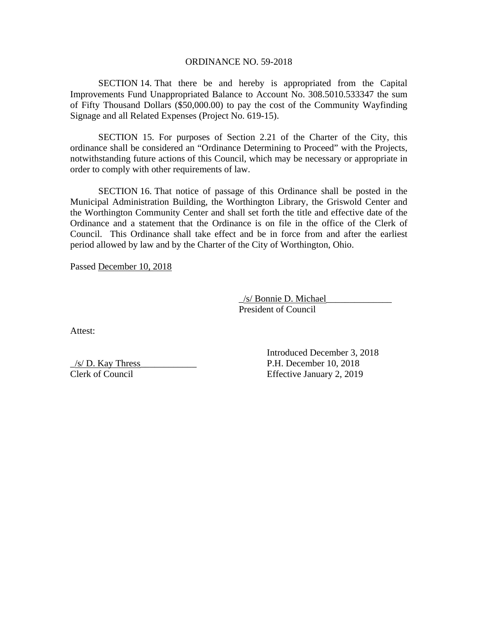## ORDINANCE NO. 59-2018

SECTION 14. That there be and hereby is appropriated from the Capital Improvements Fund Unappropriated Balance to Account No. 308.5010.533347 the sum of Fifty Thousand Dollars (\$50,000.00) to pay the cost of the Community Wayfinding Signage and all Related Expenses (Project No. 619-15).

SECTION 15. For purposes of Section 2.21 of the Charter of the City, this ordinance shall be considered an "Ordinance Determining to Proceed" with the Projects, notwithstanding future actions of this Council, which may be necessary or appropriate in order to comply with other requirements of law.

SECTION 16. That notice of passage of this Ordinance shall be posted in the Municipal Administration Building, the Worthington Library, the Griswold Center and the Worthington Community Center and shall set forth the title and effective date of the Ordinance and a statement that the Ordinance is on file in the office of the Clerk of Council. This Ordinance shall take effect and be in force from and after the earliest period allowed by law and by the Charter of the City of Worthington, Ohio.

Passed December 10, 2018

 \_/s/ Bonnie D. Michael\_\_\_\_\_\_\_\_\_\_\_\_\_\_ President of Council

Attest:

 Introduced December 3, 2018  $/s/D$ . Kay Thress  $P.H.$  December 10, 2018 Clerk of Council Effective January 2, 2019